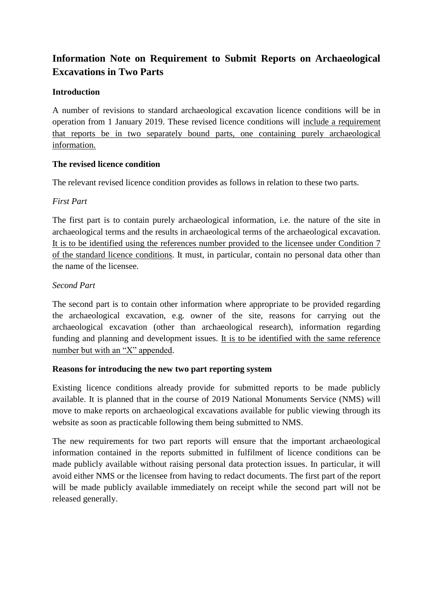# **Information Note on Requirement to Submit Reports on Archaeological Excavations in Two Parts**

# **Introduction**

A number of revisions to standard archaeological excavation licence conditions will be in operation from 1 January 2019. These revised licence conditions will include a requirement that reports be in two separately bound parts, one containing purely archaeological information.

## **The revised licence condition**

The relevant revised licence condition provides as follows in relation to these two parts.

# *First Part*

The first part is to contain purely archaeological information, i.e. the nature of the site in archaeological terms and the results in archaeological terms of the archaeological excavation. It is to be identified using the references number provided to the licensee under Condition 7 of the standard licence conditions. It must, in particular, contain no personal data other than the name of the licensee.

# *Second Part*

The second part is to contain other information where appropriate to be provided regarding the archaeological excavation, e.g. owner of the site, reasons for carrying out the archaeological excavation (other than archaeological research), information regarding funding and planning and development issues. It is to be identified with the same reference number but with an "X" appended.

## **Reasons for introducing the new two part reporting system**

Existing licence conditions already provide for submitted reports to be made publicly available. It is planned that in the course of 2019 National Monuments Service (NMS) will move to make reports on archaeological excavations available for public viewing through its website as soon as practicable following them being submitted to NMS.

The new requirements for two part reports will ensure that the important archaeological information contained in the reports submitted in fulfilment of licence conditions can be made publicly available without raising personal data protection issues. In particular, it will avoid either NMS or the licensee from having to redact documents. The first part of the report will be made publicly available immediately on receipt while the second part will not be released generally.